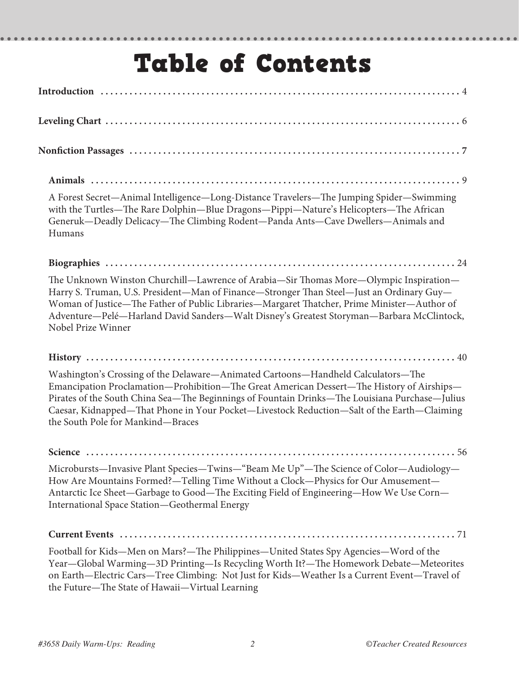# Table of Contents

 $\bullet$ 

. . . . . . . . . .

......

| A Forest Secret-Animal Intelligence-Long-Distance Travelers-The Jumping Spider-Swimming<br>with the Turtles-The Rare Dolphin-Blue Dragons-Pippi-Nature's Helicopters-The African<br>Generuk—Deadly Delicacy—The Climbing Rodent—Panda Ants—Cave Dwellers—Animals and<br>Humans                                                                                                                                     |
|--------------------------------------------------------------------------------------------------------------------------------------------------------------------------------------------------------------------------------------------------------------------------------------------------------------------------------------------------------------------------------------------------------------------|
|                                                                                                                                                                                                                                                                                                                                                                                                                    |
| The Unknown Winston Churchill—Lawrence of Arabia—Sir Thomas More—Olympic Inspiration—<br>Harry S. Truman, U.S. President-Man of Finance-Stronger Than Steel-Just an Ordinary Guy-<br>Woman of Justice—The Father of Public Libraries—Margaret Thatcher, Prime Minister—Author of<br>Adventure-Pelé-Harland David Sanders-Walt Disney's Greatest Storyman-Barbara McClintock,<br>Nobel Prize Winner                 |
|                                                                                                                                                                                                                                                                                                                                                                                                                    |
| Washington's Crossing of the Delaware-Animated Cartoons-Handheld Calculators-The<br>Emancipation Proclamation-Prohibition-The Great American Dessert-The History of Airships-<br>Pirates of the South China Sea-The Beginnings of Fountain Drinks-The Louisiana Purchase-Julius<br>Caesar, Kidnapped-That Phone in Your Pocket-Livestock Reduction-Salt of the Earth-Claiming<br>the South Pole for Mankind-Braces |
|                                                                                                                                                                                                                                                                                                                                                                                                                    |
| Microbursts-Invasive Plant Species-Twins-"Beam Me Up"-The Science of Color-Audiology-<br>How Are Mountains Formed?—Telling Time Without a Clock—Physics for Our Amusement—<br>Antarctic Ice Sheet-Garbage to Good-The Exciting Field of Engineering-How We Use Corn-<br>International Space Station-Geothermal Energy                                                                                              |
|                                                                                                                                                                                                                                                                                                                                                                                                                    |
| Football for Kids-Men on Mars?-The Philippines-United States Spy Agencies-Word of the<br>Year-Global Warming-3D Printing-Is Recycling Worth It?-The Homework Debate-Meteorites<br>on Earth-Electric Cars-Tree Climbing: Not Just for Kids-Weather Is a Current Event-Travel of<br>the Future-The State of Hawaii-Virtual Learning                                                                                  |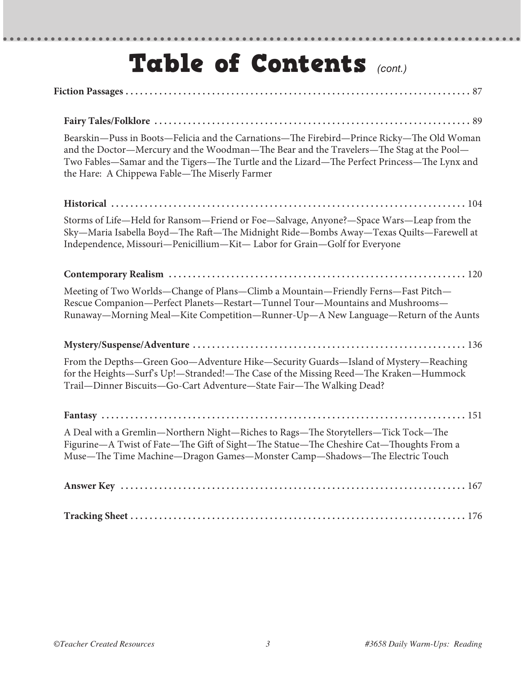# Table of Contents *(cont.)*

| Bearskin-Puss in Boots-Felicia and the Carnations-The Firebird-Prince Ricky-The Old Woman<br>and the Doctor-Mercury and the Woodman-The Bear and the Travelers-The Stag at the Pool-<br>Two Fables-Samar and the Tigers-The Turtle and the Lizard-The Perfect Princess-The Lynx and<br>the Hare: A Chippewa Fable-The Miserly Farmer |
|--------------------------------------------------------------------------------------------------------------------------------------------------------------------------------------------------------------------------------------------------------------------------------------------------------------------------------------|
|                                                                                                                                                                                                                                                                                                                                      |
| Storms of Life-Held for Ransom-Friend or Foe-Salvage, Anyone?-Space Wars-Leap from the<br>Sky-Maria Isabella Boyd-The Raft-The Midnight Ride-Bombs Away-Texas Quilts-Farewell at<br>Independence, Missouri-Penicillium-Kit-Labor for Grain-Golf for Everyone                                                                         |
|                                                                                                                                                                                                                                                                                                                                      |
| Meeting of Two Worlds-Change of Plans-Climb a Mountain-Friendly Ferns-Fast Pitch-<br>Rescue Companion-Perfect Planets-Restart-Tunnel Tour-Mountains and Mushrooms-<br>Runaway—Morning Meal—Kite Competition—Runner-Up—A New Language—Return of the Aunts                                                                             |
|                                                                                                                                                                                                                                                                                                                                      |
| From the Depths-Green Goo-Adventure Hike-Security Guards-Island of Mystery-Reaching<br>for the Heights—Surf's Up!—Stranded!—The Case of the Missing Reed—The Kraken—Hummock<br>Trail-Dinner Biscuits-Go-Cart Adventure-State Fair-The Walking Dead?                                                                                  |
|                                                                                                                                                                                                                                                                                                                                      |
| A Deal with a Gremlin-Northern Night-Riches to Rags-The Storytellers-Tick Tock-The<br>Figurine-A Twist of Fate-The Gift of Sight-The Statue-The Cheshire Cat-Thoughts From a<br>Muse-The Time Machine-Dragon Games-Monster Camp-Shadows-The Electric Touch                                                                           |
|                                                                                                                                                                                                                                                                                                                                      |
|                                                                                                                                                                                                                                                                                                                                      |

 $- - - - -$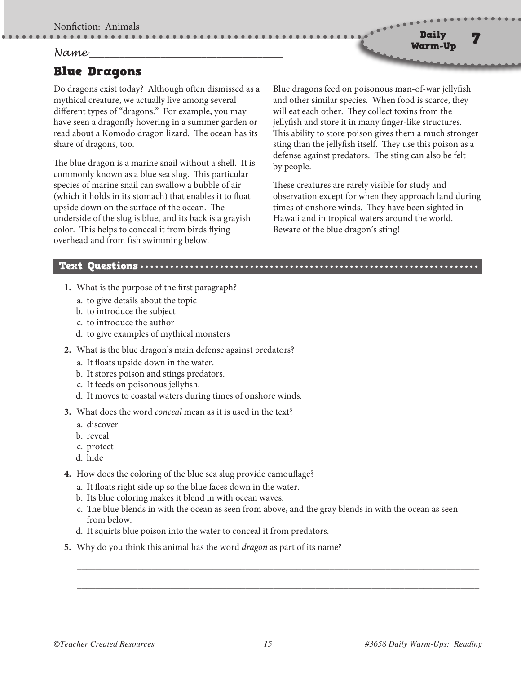Nonfiction: Animals

### *Name* **\_\_\_\_\_\_\_\_\_\_\_\_\_\_\_\_\_\_\_\_\_\_\_\_\_\_\_\_\_\_\_\_\_\_\_\_\_\_**

## Blue Dragons

Do dragons exist today? Although often dismissed as a mythical creature, we actually live among several different types of "dragons." For example, you may have seen a dragonfly hovering in a summer garden or read about a Komodo dragon lizard. The ocean has its share of dragons, too.

The blue dragon is a marine snail without a shell. It is commonly known as a blue sea slug. This particular species of marine snail can swallow a bubble of air (which it holds in its stomach) that enables it to float upside down on the surface of the ocean. The underside of the slug is blue, and its back is a grayish color. This helps to conceal it from birds flying overhead and from fish swimming below.

Blue dragons feed on poisonous man-of-war jellyfish and other similar species. When food is scarce, they will eat each other. They collect toxins from the jellyfish and store it in many finger-like structures. This ability to store poison gives them a much stronger sting than the jellyfish itself. They use this poison as a defense against predators. The sting can also be felt by people.

Daily Warm-Up

These creatures are rarely visible for study and observation except for when they approach land during times of onshore winds. They have been sighted in Hawaii and in tropical waters around the world. Beware of the blue dragon's sting!

#### Text Questions

- **1.** What is the purpose of the first paragraph?
	- a. to give details about the topic
	- b. to introduce the subject
	- c. to introduce the author
	- d. to give examples of mythical monsters
- **2.** What is the blue dragon's main defense against predators?
	- a. It floats upside down in the water.
	- b. It stores poison and stings predators.
	- c. It feeds on poisonous jellyfish.
	- d. It moves to coastal waters during times of onshore winds.
- **3.** What does the word *conceal* mean as it is used in the text?
	- a. discover
	- b. reveal
	- c. protect
	- d. hide
- **4.** How does the coloring of the blue sea slug provide camouflage?
	- a. It floats right side up so the blue faces down in the water.
	- b. Its blue coloring makes it blend in with ocean waves.
	- c. The blue blends in with the ocean as seen from above, and the gray blends in with the ocean as seen from below.

\_\_\_\_\_\_\_\_\_\_\_\_\_\_\_\_\_\_\_\_\_\_\_\_\_\_\_\_\_\_\_\_\_\_\_\_\_\_\_\_\_\_\_\_\_\_\_\_\_\_\_\_\_\_\_\_\_\_\_\_\_\_\_\_\_\_\_\_\_\_\_\_\_\_\_\_\_\_\_\_\_\_\_\_\_\_

\_\_\_\_\_\_\_\_\_\_\_\_\_\_\_\_\_\_\_\_\_\_\_\_\_\_\_\_\_\_\_\_\_\_\_\_\_\_\_\_\_\_\_\_\_\_\_\_\_\_\_\_\_\_\_\_\_\_\_\_\_\_\_\_\_\_\_\_\_\_\_\_\_\_\_\_\_\_\_\_\_\_\_\_\_\_

\_\_\_\_\_\_\_\_\_\_\_\_\_\_\_\_\_\_\_\_\_\_\_\_\_\_\_\_\_\_\_\_\_\_\_\_\_\_\_\_\_\_\_\_\_\_\_\_\_\_\_\_\_\_\_\_\_\_\_\_\_\_\_\_\_\_\_\_\_\_\_\_\_\_\_\_\_\_\_\_\_\_\_\_\_\_

- d. It squirts blue poison into the water to conceal it from predators.
- **5.** Why do you think this animal has the word *dragon* as part of its name?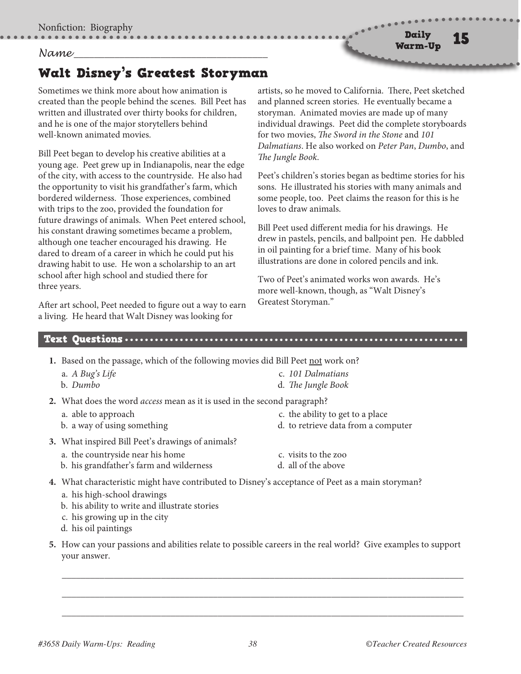### *Name* **\_\_\_\_\_\_\_\_\_\_\_\_\_\_\_\_\_\_\_\_\_\_\_\_\_\_\_\_\_\_\_\_\_\_\_\_\_\_**

# Walt Disney's Greatest Storyman

Sometimes we think more about how animation is created than the people behind the scenes. Bill Peet has written and illustrated over thirty books for children, and he is one of the major storytellers behind well-known animated movies.

Bill Peet began to develop his creative abilities at a young age. Peet grew up in Indianapolis, near the edge of the city, with access to the countryside. He also had the opportunity to visit his grandfather's farm, which bordered wilderness. Those experiences, combined with trips to the zoo, provided the foundation for future drawings of animals. When Peet entered school, his constant drawing sometimes became a problem, although one teacher encouraged his drawing. He dared to dream of a career in which he could put his drawing habit to use. He won a scholarship to an art school after high school and studied there for three years.

After art school, Peet needed to figure out a way to earn a living. He heard that Walt Disney was looking for

artists, so he moved to California. There, Peet sketched and planned screen stories. He eventually became a storyman. Animated movies are made up of many individual drawings. Peet did the complete storyboards for two movies, *The Sword in the Stone* and *101 Dalmatians*. He also worked on *Peter Pan*, *Dumbo*, and *The Jungle Book*.

Peet's children's stories began as bedtime stories for his sons. He illustrated his stories with many animals and some people, too. Peet claims the reason for this is he loves to draw animals.

Bill Peet used different media for his drawings. He drew in pastels, pencils, and ballpoint pen. He dabbled in oil painting for a brief time. Many of his book illustrations are done in colored pencils and ink.

Two of Peet's animated works won awards. He's more well-known, though, as "Walt Disney's Greatest Storyman."

#### Text Questions

**1.** Based on the passage, which of the following movies did Bill Peet not work on?

- a. *A Bug's Life* b. *Dumbo* c. *101 Dalmatians* d. *The Jungle Book*
- **2.** What does the word *access* mean as it is used in the second paragraph?
	- a. able to approach
	- b. a way of using something
- c. the ability to get to a place
- d. to retrieve data from a computer
- **3.** What inspired Bill Peet's drawings of animals?
	- a. the countryside near his home
	- b. his grandfather's farm and wilderness
- c. visits to the zoo
- d. all of the above
- **4.** What characteristic might have contributed to Disney's acceptance of Peet as a main storyman?
	- a. his high-school drawings
	- b. his ability to write and illustrate stories
	- c. his growing up in the city
	- d. his oil paintings
- **5.** How can your passions and abilities relate to possible careers in the real world? Give examples to support your answer.

\_\_\_\_\_\_\_\_\_\_\_\_\_\_\_\_\_\_\_\_\_\_\_\_\_\_\_\_\_\_\_\_\_\_\_\_\_\_\_\_\_\_\_\_\_\_\_\_\_\_\_\_\_\_\_\_\_\_\_\_\_\_\_\_\_\_\_\_\_\_\_\_\_\_\_\_\_\_\_\_\_\_\_\_\_

\_\_\_\_\_\_\_\_\_\_\_\_\_\_\_\_\_\_\_\_\_\_\_\_\_\_\_\_\_\_\_\_\_\_\_\_\_\_\_\_\_\_\_\_\_\_\_\_\_\_\_\_\_\_\_\_\_\_\_\_\_\_\_\_\_\_\_\_\_\_\_\_\_\_\_\_\_\_\_\_\_\_\_\_\_

\_\_\_\_\_\_\_\_\_\_\_\_\_\_\_\_\_\_\_\_\_\_\_\_\_\_\_\_\_\_\_\_\_\_\_\_\_\_\_\_\_\_\_\_\_\_\_\_\_\_\_\_\_\_\_\_\_\_\_\_\_\_\_\_\_\_\_\_\_\_\_\_\_\_\_\_\_\_\_\_\_\_\_\_\_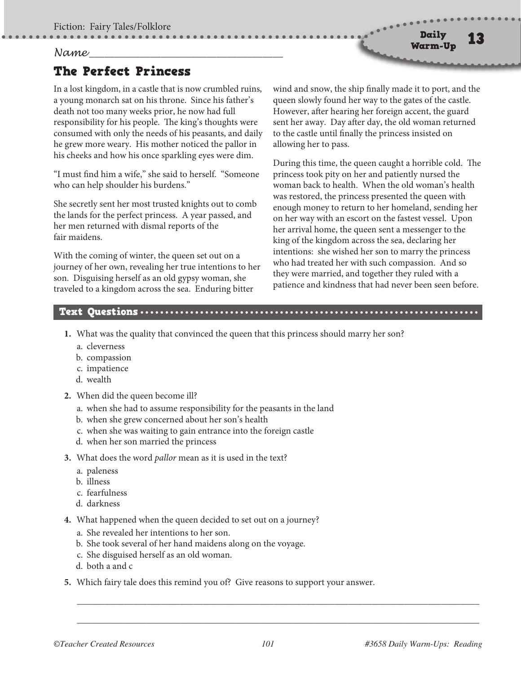#### *Name* **\_\_\_\_\_\_\_\_\_\_\_\_\_\_\_\_\_\_\_\_\_\_\_\_\_\_\_\_\_\_\_\_\_\_\_\_\_\_**

# The Perfect Princess

In a lost kingdom, in a castle that is now crumbled ruins, a young monarch sat on his throne. Since his father's death not too many weeks prior, he now had full responsibility for his people. The king's thoughts were consumed with only the needs of his peasants, and daily he grew more weary. His mother noticed the pallor in his cheeks and how his once sparkling eyes were dim.

"I must find him a wife," she said to herself. "Someone who can help shoulder his burdens."

She secretly sent her most trusted knights out to comb the lands for the perfect princess. A year passed, and her men returned with dismal reports of the fair maidens.

With the coming of winter, the queen set out on a journey of her own, revealing her true intentions to her son. Disguising herself as an old gypsy woman, she traveled to a kingdom across the sea. Enduring bitter

wind and snow, the ship finally made it to port, and the queen slowly found her way to the gates of the castle. However, after hearing her foreign accent, the guard sent her away. Day after day, the old woman returned to the castle until finally the princess insisted on allowing her to pass.

During this time, the queen caught a horrible cold. The princess took pity on her and patiently nursed the woman back to health. When the old woman's health was restored, the princess presented the queen with enough money to return to her homeland, sending her on her way with an escort on the fastest vessel. Upon her arrival home, the queen sent a messenger to the king of the kingdom across the sea, declaring her intentions: she wished her son to marry the princess who had treated her with such compassion. And so they were married, and together they ruled with a patience and kindness that had never been seen before.

## Text Questions

- **1.** What was the quality that convinced the queen that this princess should marry her son?
	- a. cleverness
	- b. compassion
	- c. impatience
	- d. wealth
- **2.** When did the queen become ill?
	- a. when she had to assume responsibility for the peasants in the land
	- b. when she grew concerned about her son's health
	- c. when she was waiting to gain entrance into the foreign castle
	- d. when her son married the princess
- **3.** What does the word *pallor* mean as it is used in the text?
	- a. paleness
	- b. illness
	- c. fearfulness
	- d. darkness
- **4.** What happened when the queen decided to set out on a journey?
	- a. She revealed her intentions to her son.
	- b. She took several of her hand maidens along on the voyage.
	- c. She disguised herself as an old woman.
	- d. both a and c
- **5.** Which fairy tale does this remind you of? Give reasons to support your answer.

\_\_\_\_\_\_\_\_\_\_\_\_\_\_\_\_\_\_\_\_\_\_\_\_\_\_\_\_\_\_\_\_\_\_\_\_\_\_\_\_\_\_\_\_\_\_\_\_\_\_\_\_\_\_\_\_\_\_\_\_\_\_\_\_\_\_\_\_\_\_\_\_\_\_\_\_\_\_\_\_\_\_\_\_\_\_

\_\_\_\_\_\_\_\_\_\_\_\_\_\_\_\_\_\_\_\_\_\_\_\_\_\_\_\_\_\_\_\_\_\_\_\_\_\_\_\_\_\_\_\_\_\_\_\_\_\_\_\_\_\_\_\_\_\_\_\_\_\_\_\_\_\_\_\_\_\_\_\_\_\_\_\_\_\_\_\_\_\_\_\_\_\_